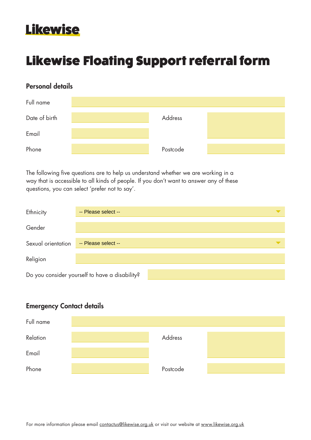## Likewise

# Likewise Floating Support referral form

## Personal details

| Full name     |          |  |
|---------------|----------|--|
| Date of birth | Address  |  |
| Email         |          |  |
| Phone         | Postcode |  |

The following five questions are to help us understand whether we are working in a way that is accessible to all kinds of people. If you don't want to answer any of these questions, you can select 'prefer not to say'.

| Ethnicity          | -- Please select --                            |  |
|--------------------|------------------------------------------------|--|
| Gender             |                                                |  |
| Sexual orientation | -- Please select --                            |  |
| Religion           |                                                |  |
|                    | Do you consider yourself to have a disability? |  |

## Emergency Contact details

| Full name |          |  |
|-----------|----------|--|
| Relation  | Address  |  |
| Email     |          |  |
| Phone     | Postcode |  |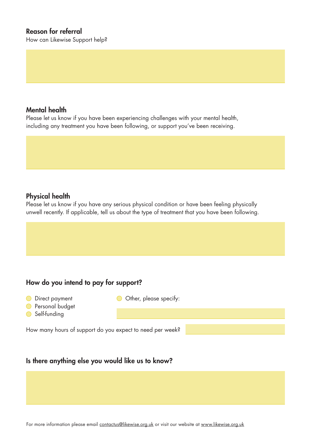### Reason for referral

How can Likewise Support help?

#### Mental health

Please let us know if you have been experiencing challenges with your mental health, including any treatment you have been following, or support you've been receiving.

#### Physical health

Please let us know if you have any serious physical condition or have been feeling physically unwell recently. If applicable, tell us about the type of treatment that you have been following.

## How do you intend to pay for support?

- O Direct payment
- Other, please specify:
- **Personal budget**
- Self-funding

How many hours of support do you expect to need per week?

### Is there anything else you would like us to know?

For more information please email contactus@likewise.org.uk or visit our website at www.likewise.org.uk